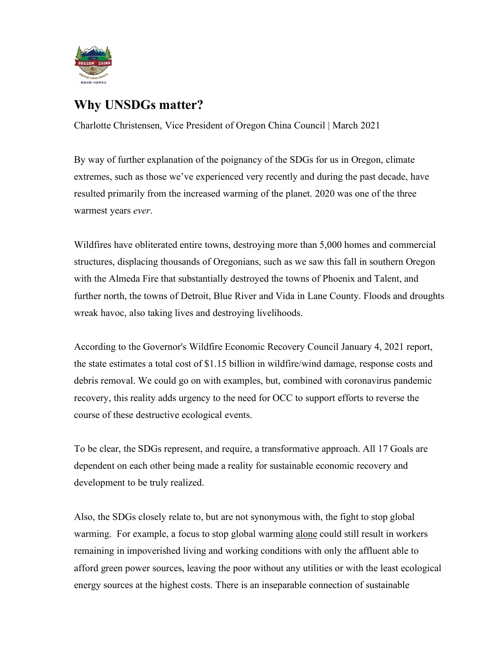

## **Why UNSDGs matter?**

Charlotte Christensen, Vice President of Oregon China Council | March 2021

By way of further explanation of the poignancy of the SDGs for us in Oregon, climate extremes, such as those we've experienced very recently and during the past decade, have resulted primarily from the increased warming of the planet. 2020 was one of the three warmest years *ever*.

Wildfires have obliterated entire towns, destroying more than 5,000 homes and commercial structures, displacing thousands of Oregonians, such as we saw this fall in southern Oregon with the Almeda Fire that substantially destroyed the towns of Phoenix and Talent, and further north, the towns of Detroit, Blue River and Vida in Lane County. Floods and droughts wreak havoc, also taking lives and destroying livelihoods.

According to the Governor's Wildfire Economic Recovery Council January 4, 2021 report, the state estimates a total cost of \$1.15 billion in wildfire/wind damage, response costs and debris removal. We could go on with examples, but, combined with coronavirus pandemic recovery, this reality adds urgency to the need for OCC to support efforts to reverse the course of these destructive ecological events.

To be clear, the SDGs represent, and require, a transformative approach. All 17 Goals are dependent on each other being made a reality for sustainable economic recovery and development to be truly realized.

Also, the SDGs closely relate to, but are not synonymous with, the fight to stop global warming. For example, a focus to stop global warming alone could still result in workers remaining in impoverished living and working conditions with only the affluent able to afford green power sources, leaving the poor without any utilities or with the least ecological energy sources at the highest costs. There is an inseparable connection of sustainable